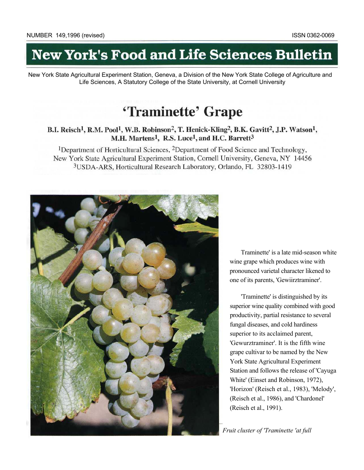# **New York's Food and Life Sciences Bulletin**

New York State Agricultural Experiment Station, Geneva, a Division of the New York State College of Agriculture and Life Sciences, A Statutory College of the State University, at Cornell University

## 'Traminette' Grape

B.I. Reisch<sup>1</sup>, R.M. Pool<sup>1</sup>, W.B. Robinson<sup>2</sup>, T. Henick-Kling<sup>2</sup>, B.K. Gavitt<sup>2</sup>, J.P. Watson<sup>1</sup>, M.H. Martens<sup>1</sup>, R.S. Luce<sup>1</sup>, and H.C. Barrett<sup>3</sup>

<sup>1</sup>Department of Horticultural Sciences, <sup>2</sup>Department of Food Science and Technology, New York State Agricultural Experiment Station, Cornell University, Geneva, NY 14456 <sup>3</sup>USDA-ARS, Horticultural Research Laboratory, Orlando, FL 32803-1419



Traminette' is a late mid-season white wine grape which produces wine with pronounced varietal character likened to one of its parents, 'Gewiirztraminer'.

'Traminette' is distinguished by its superior wine quality combined with good productivity, partial resistance to several fungal diseases, and cold hardiness superior to its acclaimed parent, 'Gewurztraminer'. It is the fifth wine grape cultivar to be named by the New York State Agricultural Experiment Station and follows the release of 'Cayuga White' (Einset and Robinson, 1972), 'Horizon' (Reisch et al., 1983), 'Melody', (Reisch et al., 1986), and 'Chardonel' (Reisch et al., 1991).

*Fruit cluster of 'Traminette 'at full*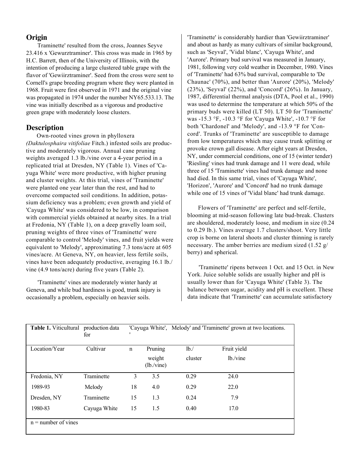#### **Origin**

Traminette' resulted from the cross, Joannes Seyve 23.416 x 'Gewurztraminer'. This cross was made in 1965 by H.C. Barrett, then of the University of Illinois, with the intention of producing a large clustered table grape with the flavor of 'Gewiirztraminer'. Seed from the cross were sent to Cornell's grape breeding program where they were planted in 1968. Fruit were first observed in 1971 and the original vine was propagated in 1974 under the number NY65.533.13. The vine was initially described as a vigorous and productive green grape with moderately loose clusters.

## **Description**

Own-rooted vines grown in phylloxera *(Daktulosphaira vitifoliae* Fitch.) infested soils are productive and moderately vigorous. Annual cane pruning weights averaged 1.3 lb./vine over a 4-year period in a replicated trial at Dresden, NY (Table 1). Vines of 'Cayuga White' were more productive, with higher pruning and cluster weights. At this trial, vines of 'Traminette' were planted one year later than the rest, and had to overcome compacted soil conditions. In addition, potassium deficiency was a problem; even growth and yield of 'Cayuga White' was considered to be low, in comparison with commercial yields obtained at nearby sites. In a trial at Fredonia, NY (Table 1), on a deep gravelly loam soil, pruning weights of three vines of 'Traminette' were comparable to control 'Melody' vines, and fruit yields were equivalent to 'Melody', approximating 7.3 tons/acre at 605 vines/acre. At Geneva, NY, on heavier, less fertile soils, vines have been adequately productive, averaging 16.1 lb./ vine (4.9 tons/acre) during five years (Table 2).

'Traminette' vines are moderately winter hardy at Geneva, and while bud hardiness is good, trunk injury is occasionally a problem, especially on heavier soils.

'Traminette' is considerably hardier than 'Gewiirztraminer' and about as hardy as many cultivars of similar background, such as 'Seyval', 'Vidal blanc', 'Cayuga White', and 'Aurore'. Primary bud survival was measured in January, 1981, following very cold weather in December, 1980. Vines of 'Traminette' had 63% bud survival, comparable to 'De Chaunac' (70%), and better than 'Aurore' (20%), 'Melody' (23%), 'Seyval' (22%), and 'Concord' (26%). In January, 1987, differential thermal analysis (DTA, Pool et al., 1990) was used to determine the temperature at which 50% of the primary buds were killed (LT 50). LT 50 for 'Traminette' was -15.3 °F, -10.3 °F for 'Cayuga White', -10.7 °F for both 'Chardonel' and 'Melody', and -13.9 °F for 'Concord'. Trunks of 'Traminette' are susceptible to damage from low temperatures which may cause trunk splitting or provoke crown gall disease. After eight years at Dresden, NY, under commercial conditions, one of 15 (winter tender) 'Riesling' vines had trunk damage and 11 were dead, while three of 15 'Traminette' vines had trunk damage and none had died. In this same trial, vines of 'Cayuga White', 'Horizon', 'Aurore' and 'Concord' had no trunk damage while one of 15 vines of 'Vidal blanc' had trunk damage.

Flowers of 'Traminette' are perfect and self-fertile, blooming at mid-season following late bud-break. Clusters are shouldered, moderately loose, and medium in size (0.24 to 0.29 lb.). Vines average 1.7 clusters/shoot. Very little crop is borne on lateral shoots and cluster thinning is rarely necessary. The amber berries are medium sized (1.52 g/ berry) and spherical.

'Traminette' ripens between 1 Oct. and 15 Oct. in New York. Juice soluble solids are usually higher and pH is usually lower than for 'Cayuga White' (Table 3). The balance between sugar, acidity and pH is excellent. These data indicate that 'Traminette' can accumulate satisfactory

| <b>Table 1.</b> Viticultural | production data<br>for |             | 'Cayuga White', Melody' and 'Traminette' grown at two locations. |                    |                         |
|------------------------------|------------------------|-------------|------------------------------------------------------------------|--------------------|-------------------------|
| Location/Year                | Cultivar               | $\mathbf n$ | Pruning<br>weight<br>(lb./vine)                                  | $lb$ ./<br>cluster | Fruit yield<br>lb./vine |
| Fredonia, NY                 | Traminette             | 3           | 3.5                                                              | 0.29               | 24.0                    |
| 1989-93                      | Melody                 | 18          | 4.0                                                              | 0.29               | 22.0                    |
| Dresden, NY                  | Traminette             | 15          | 1.3                                                              | 0.24               | 7.9                     |
| 1980-83                      | Cayuga White           | 15          | 1.5                                                              | 0.40               | 17.0                    |
| $n =$ number of vines        |                        |             |                                                                  |                    |                         |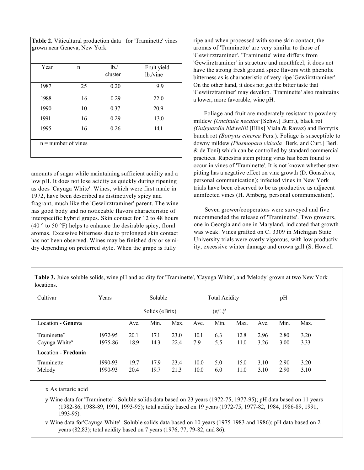**Table 2.** Viticultural production data for 'Traminette' vines grown near Geneva, New York.

| Year                  | n  | $lb$ ./<br>cluster | Fruit yield<br>$lb$ /vine |
|-----------------------|----|--------------------|---------------------------|
| 1987                  | 25 | 0.20               | 9.9                       |
| 1988                  | 16 | 0.29               | 22.0                      |
| 1990                  | 10 | 0.37               | 20.9                      |
| 1991                  | 16 | 0.29               | 13.0                      |
| 1995                  | 16 | 0.26               | 14.1                      |
| $n =$ number of vines |    |                    |                           |

amounts of sugar while maintaining sufficient acidity and a low pH. It does not lose acidity as quickly during ripening as does 'Cayuga White'. Wines, which were first made in 1972, have been described as distinctively spicy and fragrant, much like the 'Gewiirztraminer' parent. The wine has good body and no noticeable flavors characteristic of interspecific hybrid grapes. Skin contact for 12 to 48 hours (40 $\degree$  to 50 $\degree$ F) helps to enhance the desirable spicy, floral aromas. Excessive bitterness due to prolonged skin contact has not been observed. Wines may be finished dry or semidry depending on preferred style. When the grape is fully

ripe and when processed with some skin contact, the aromas of 'Traminette' are very similar to those of 'Gewiirztraminer'. 'Traminette' wine differs from 'Gewiirztraminer' in structure and mouthfeel; it does not have the strong fresh ground spice flavors with phenolic bitterness as is characteristic of very ripe 'Gewiirztraminer'. On the other hand, it does not get the bitter taste that 'Gewiirztraminer' may develop. 'Traminette' also maintains a lower, more favorable, wine pH.

Foliage and fruit are moderately resistant to powdery mildew *(Uncinula necator* [Schw.] Burr.), black rot *(Guignardia bidwellii* [Ellis] Viala & Ravaz) and Botrytis bunch rot *(Botrytis cinerea* Pers.). Foliage is susceptible to downy mildew *(Plasmopara viticola* [Berk, and Curt.] Berl. & de Toni) which can be controlled by standard commercial practices. Rupestris stem pitting virus has been found to occur in vines of 'Traminette'. It is not known whether stem pitting has a negative effect on vine growth (D. Gonsalves, personal communication); infected vines in New York trials have been observed to be as productive as adjacent uninfected vines (H. Amberg, personal communication).

Seven grower/cooperators were surveyed and five recommended the release of 'Traminette'. Two growers, one in Georgia and one in Maryland, indicated that growth was weak. Vines grafted on C. 3309 in Michigan State University trials were overly vigorous, with low productivity, excessive winter damage and crown gall (S. Howell

**Table 3.** Juice soluble solids, wine pH and acidity for 'Traminette', 'Cayuga White', and 'Melody' grown at two New York locations.

| Cultivar                                             | Years              | Soluble        |              |              | <b>Total Acidity</b> |            |              | pH           |              |              |  |
|------------------------------------------------------|--------------------|----------------|--------------|--------------|----------------------|------------|--------------|--------------|--------------|--------------|--|
|                                                      |                    | Solids («Brix) |              |              | $(g/L)^z$            |            |              |              |              |              |  |
| Location - Geneva                                    |                    | Ave.           | Min.         | <b>Max</b>   | Ave.                 | Min.       | Max.         | Ave.         | Min.         | Max.         |  |
| Traminette <sup>v</sup><br>Cayuga White <sup>x</sup> | 1972-95<br>1975-86 | 20.1<br>18.9   | 17.1<br>14.3 | 23.0<br>22.4 | 10.1<br>7.9          | 6.3<br>5.5 | 12.8<br>11.0 | 2.96<br>3.26 | 2.80<br>3.00 | 3.20<br>3.33 |  |
| Location - Fredonia                                  |                    |                |              |              |                      |            |              |              |              |              |  |
| Traminette<br>Melody                                 | 1990-93<br>1990-93 | 19.7<br>20.4   | 17.9<br>19.7 | 23.4<br>21.3 | 10.0<br>10.0         | 5.0<br>6.0 | 15.0<br>11.0 | 3.10<br>3.10 | 2.90<br>2.90 | 3.20<br>3.10 |  |

x As tartaric acid

y Wine data for 'Traminette' - Soluble solids data based on 23 years (1972-75, 1977-95); pH data based on 11 years (1982-86, 1988-89, 1991, 1993-95); total acidity based on 19 years (1972-75, 1977-82, 1984, 1986-89, 1991, 1993-95).

v Wine data for'Cayuga White'- Soluble solids data based on 10 years (1975-1983 and 1986); pH data based on 2 years (82,83); total acidity based on 7 years (1976, 77, 79-82, and 86).